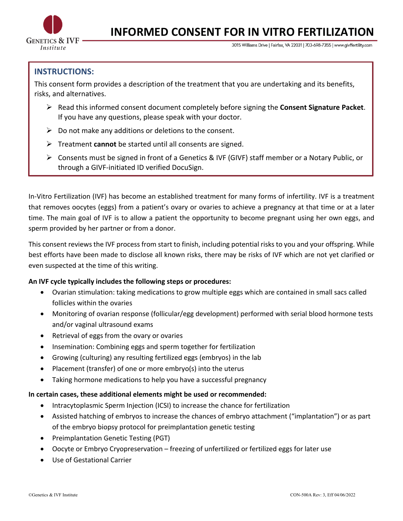

# **INFORMED CONSENT FOR IN VITRO FERTILIZATION**

3015 Williams Drive | Fairfax, VA 22031 | 703-698-7355 | www.givffertility.com

# **INSTRUCTIONS:**

This consent form provides a description of the treatment that you are undertaking and its benefits, risks, and alternatives.

- $\triangleright$  Read this informed consent document completely before signing the **Consent Signature Packet**. If you have any questions, please speak with your doctor.
- $\triangleright$  Do not make any additions or deletions to the consent.
- Ø Treatment **cannot** be started until all consents are signed.
- $\triangleright$  Consents must be signed in front of a Genetics & IVF (GIVF) staff member or a Notary Public, or through a GIVF-initiated ID verified DocuSign.

In-Vitro Fertilization (IVF) has become an established treatment for many forms of infertility. IVF is a treatment that removes oocytes (eggs) from a patient's ovary or ovaries to achieve a pregnancy at that time or at a later time. The main goal of IVF is to allow a patient the opportunity to become pregnant using her own eggs, and sperm provided by her partner or from a donor.

This consent reviews the IVF process from start to finish, including potential risks to you and your offspring. While best efforts have been made to disclose all known risks, there may be risks of IVF which are not yet clarified or even suspected at the time of this writing.

#### **An IVF cycle typically includes the following steps or procedures:**

- Ovarian stimulation: taking medications to grow multiple eggs which are contained in small sacs called follicles within the ovaries
- Monitoring of ovarian response (follicular/egg development) performed with serial blood hormone tests and/or vaginal ultrasound exams
- Retrieval of eggs from the ovary or ovaries
- Insemination: Combining eggs and sperm together for fertilization
- Growing (culturing) any resulting fertilized eggs (embryos) in the lab
- Placement (transfer) of one or more embryo(s) into the uterus
- Taking hormone medications to help you have a successful pregnancy

#### **In certain cases, these additional elements might be used or recommended:**

- Intracytoplasmic Sperm Injection (ICSI) to increase the chance for fertilization
- Assisted hatching of embryos to increase the chances of embryo attachment ("implantation") or as part of the embryo biopsy protocol for preimplantation genetic testing
- Preimplantation Genetic Testing (PGT)
- Oocyte or Embryo Cryopreservation freezing of unfertilized or fertilized eggs for later use
- Use of Gestational Carrier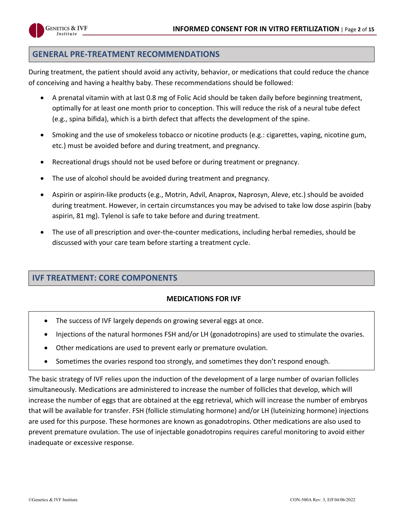

# **GENERAL PRE-TREATMENT RECOMMENDATIONS**

During treatment, the patient should avoid any activity, behavior, or medications that could reduce the chance of conceiving and having a healthy baby. These recommendations should be followed:

- A prenatal vitamin with at last 0.8 mg of Folic Acid should be taken daily before beginning treatment, optimally for at least one month prior to conception. This will reduce the risk of a neural tube defect (e.g., spina bifida), which is a birth defect that affects the development of the spine.
- Smoking and the use of smokeless tobacco or nicotine products (e.g.: cigarettes, vaping, nicotine gum, etc.) must be avoided before and during treatment, and pregnancy.
- Recreational drugs should not be used before or during treatment or pregnancy.
- The use of alcohol should be avoided during treatment and pregnancy.
- Aspirin or aspirin-like products (e.g., Motrin, Advil, Anaprox, Naprosyn, Aleve, etc.) should be avoided during treatment. However, in certain circumstances you may be advised to take low dose aspirin (baby aspirin, 81 mg). Tylenol is safe to take before and during treatment.
- The use of all prescription and over-the-counter medications, including herbal remedies, should be discussed with your care team before starting a treatment cycle.

# **IVF TREATMENT: CORE COMPONENTS**

#### **MEDICATIONS FOR IVF**

- The success of IVF largely depends on growing several eggs at once.
- Injections of the natural hormones FSH and/or LH (gonadotropins) are used to stimulate the ovaries.
- Other medications are used to prevent early or premature ovulation.
- Sometimes the ovaries respond too strongly, and sometimes they don't respond enough.

The basic strategy of IVF relies upon the induction of the development of a large number of ovarian follicles simultaneously. Medications are administered to increase the number of follicles that develop, which will increase the number of eggs that are obtained at the egg retrieval, which will increase the number of embryos that will be available for transfer. FSH (follicle stimulating hormone) and/or LH (luteinizing hormone) injections are used for this purpose. These hormones are known as gonadotropins. Other medications are also used to prevent premature ovulation. The use of injectable gonadotropins requires careful monitoring to avoid either inadequate or excessive response.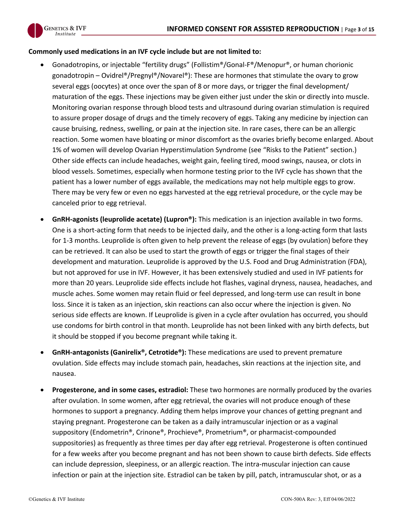

#### **Commonly used medications in an IVF cycle include but are not limited to:**

- Gonadotropins, or injectable "fertility drugs" (Follistim®/Gonal-F®/Menopur®, or human chorionic gonadotropin – Ovidrel®/Pregnyl®/Novarel®): These are hormones that stimulate the ovary to grow several eggs (oocytes) at once over the span of 8 or more days, or trigger the final development/ maturation of the eggs. These injections may be given either just under the skin or directly into muscle. Monitoring ovarian response through blood tests and ultrasound during ovarian stimulation is required to assure proper dosage of drugs and the timely recovery of eggs. Taking any medicine by injection can cause bruising, redness, swelling, or pain at the injection site. In rare cases, there can be an allergic reaction. Some women have bloating or minor discomfort as the ovaries briefly become enlarged. About 1% of women will develop Ovarian Hyperstimulation Syndrome (see "Risks to the Patient" section.) Other side effects can include headaches, weight gain, feeling tired, mood swings, nausea, or clots in blood vessels. Sometimes, especially when hormone testing prior to the IVF cycle has shown that the patient has a lower number of eggs available, the medications may not help multiple eggs to grow. There may be very few or even no eggs harvested at the egg retrieval procedure, or the cycle may be canceled prior to egg retrieval.
- **GnRH-agonists (leuprolide acetate) (Lupron®):** This medication is an injection available in two forms. One is a short-acting form that needs to be injected daily, and the other is a long-acting form that lasts for 1-3 months. Leuprolide is often given to help prevent the release of eggs (by ovulation) before they can be retrieved. It can also be used to start the growth of eggs or trigger the final stages of their development and maturation. Leuprolide is approved by the U.S. Food and Drug Administration (FDA), but not approved for use in IVF. However, it has been extensively studied and used in IVF patients for more than 20 years. Leuprolide side effects include hot flashes, vaginal dryness, nausea, headaches, and muscle aches. Some women may retain fluid or feel depressed, and long-term use can result in bone loss. Since it is taken as an injection, skin reactions can also occur where the injection is given. No serious side effects are known. If Leuprolide is given in a cycle after ovulation has occurred, you should use condoms for birth control in that month. Leuprolide has not been linked with any birth defects, but it should be stopped if you become pregnant while taking it.
- **GnRH-antagonists (Ganirelix®, Cetrotide®):** These medications are used to prevent premature ovulation. Side effects may include stomach pain, headaches, skin reactions at the injection site, and nausea.
- **Progesterone, and in some cases, estradiol:** These two hormones are normally produced by the ovaries after ovulation. In some women, after egg retrieval, the ovaries will not produce enough of these hormones to support a pregnancy. Adding them helps improve your chances of getting pregnant and staying pregnant. Progesterone can be taken as a daily intramuscular injection or as a vaginal suppository (Endometrin®, Crinone®, Prochieve®, Prometrium®, or pharmacist-compounded suppositories) as frequently as three times per day after egg retrieval. Progesterone is often continued for a few weeks after you become pregnant and has not been shown to cause birth defects. Side effects can include depression, sleepiness, or an allergic reaction. The intra-muscular injection can cause infection or pain at the injection site. Estradiol can be taken by pill, patch, intramuscular shot, or as a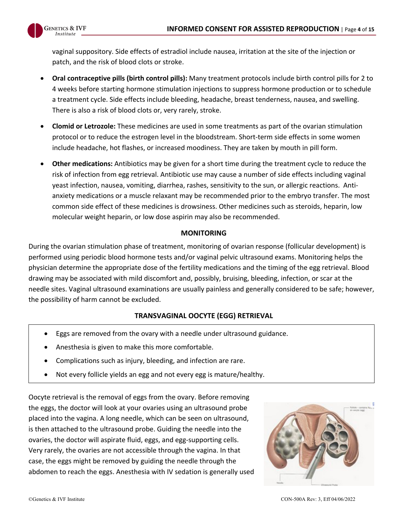

vaginal suppository. Side effects of estradiol include nausea, irritation at the site of the injection or patch, and the risk of blood clots or stroke.

- **Oral contraceptive pills (birth control pills):** Many treatment protocols include birth control pills for 2 to 4 weeks before starting hormone stimulation injections to suppress hormone production or to schedule a treatment cycle. Side effects include bleeding, headache, breast tenderness, nausea, and swelling. There is also a risk of blood clots or, very rarely, stroke.
- **Clomid or Letrozole:** These medicines are used in some treatments as part of the ovarian stimulation protocol or to reduce the estrogen level in the bloodstream. Short-term side effects in some women include headache, hot flashes, or increased moodiness. They are taken by mouth in pill form.
- **Other medications:** Antibiotics may be given for a short time during the treatment cycle to reduce the risk of infection from egg retrieval. Antibiotic use may cause a number of side effects including vaginal yeast infection, nausea, vomiting, diarrhea, rashes, sensitivity to the sun, or allergic reactions. Antianxiety medications or a muscle relaxant may be recommended prior to the embryo transfer. The most common side effect of these medicines is drowsiness. Other medicines such as steroids, heparin, low molecular weight heparin, or low dose aspirin may also be recommended.

## **MONITORING**

During the ovarian stimulation phase of treatment, monitoring of ovarian response (follicular development) is performed using periodic blood hormone tests and/or vaginal pelvic ultrasound exams. Monitoring helps the physician determine the appropriate dose of the fertility medications and the timing of the egg retrieval. Blood drawing may be associated with mild discomfort and, possibly, bruising, bleeding, infection, or scar at the needle sites. Vaginal ultrasound examinations are usually painless and generally considered to be safe; however, the possibility of harm cannot be excluded.

# **TRANSVAGINAL OOCYTE (EGG) RETRIEVAL**

- Eggs are removed from the ovary with a needle under ultrasound guidance.
- Anesthesia is given to make this more comfortable.
- Complications such as injury, bleeding, and infection are rare.
- Not every follicle yields an egg and not every egg is mature/healthy.

Oocyte retrieval is the removal of eggs from the ovary. Before removing the eggs, the doctor will look at your ovaries using an ultrasound probe placed into the vagina. A long needle, which can be seen on ultrasound, is then attached to the ultrasound probe. Guiding the needle into the ovaries, the doctor will aspirate fluid, eggs, and egg-supporting cells. Very rarely, the ovaries are not accessible through the vagina. In that case, the eggs might be removed by guiding the needle through the abdomen to reach the eggs. Anesthesia with IV sedation is generally used

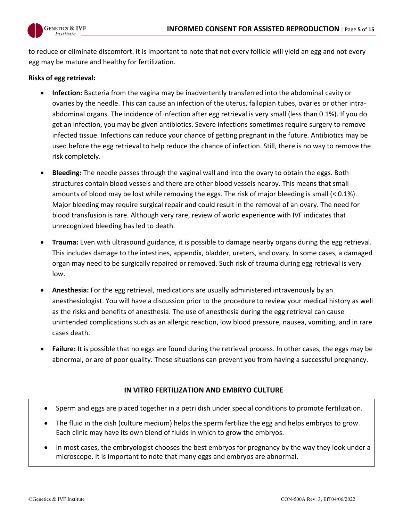

to reduce or eliminate discomfort. It is important to note that not every follicle will yield an egg and not every egg may be mature and healthy for fertilization.

## **Risks of egg retrieval:**

- **Infection:** Bacteria from the vagina may be inadvertently transferred into the abdominal cavity or ovaries by the needle. This can cause an infection of the uterus, fallopian tubes, ovaries or other intraabdominal organs. The incidence of infection after egg retrieval is very small (less than 0.1%). If you do get an infection, you may be given antibiotics. Severe infections sometimes require surgery to remove infected tissue. Infections can reduce your chance of getting pregnant in the future. Antibiotics may be used before the egg retrieval to help reduce the chance of infection. Still, there is no way to remove the risk completely.
- **Bleeding:** The needle passes through the vaginal wall and into the ovary to obtain the eggs. Both structures contain blood vessels and there are other blood vessels nearby. This means that small amounts of blood may be lost while removing the eggs. The risk of major bleeding is small (< 0.1%). Major bleeding may require surgical repair and could result in the removal of an ovary. The need for blood transfusion is rare. Although very rare, review of world experience with IVF indicates that unrecognized bleeding has led to death.
- **Trauma:** Even with ultrasound guidance, it is possible to damage nearby organs during the egg retrieval. This includes damage to the intestines, appendix, bladder, ureters, and ovary. In some cases, a damaged organ may need to be surgically repaired or removed. Such risk of trauma during egg retrieval is very low.
- **Anesthesia:** For the egg retrieval, medications are usually administered intravenously by an anesthesiologist. You will have a discussion prior to the procedure to review your medical history as well as the risks and benefits of anesthesia. The use of anesthesia during the egg retrieval can cause unintended complications such as an allergic reaction, low blood pressure, nausea, vomiting, and in rare cases death.
- **Failure:** It is possible that no eggs are found during the retrieval process. In other cases, the eggs may be abnormal, or are of poor quality. These situations can prevent you from having a successful pregnancy.

# **IN VITRO FERTILIZATION AND EMBRYO CULTURE**

- Sperm and eggs are placed together in a petri dish under special conditions to promote fertilization.
- The fluid in the dish (culture medium) helps the sperm fertilize the egg and helps embryos to grow. Each clinic may have its own blend of fluids in which to grow the embryos.
- In most cases, the embryologist chooses the best embryos for pregnancy by the way they look under a microscope. It is important to note that many eggs and embryos are abnormal.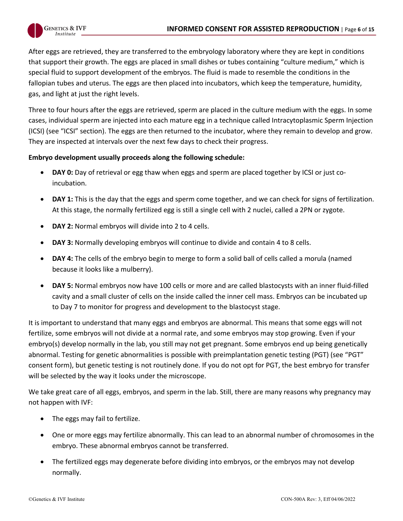

After eggs are retrieved, they are transferred to the embryology laboratory where they are kept in conditions that support their growth. The eggs are placed in small dishes or tubes containing "culture medium," which is special fluid to support development of the embryos. The fluid is made to resemble the conditions in the fallopian tubes and uterus. The eggs are then placed into incubators, which keep the temperature, humidity, gas, and light at just the right levels.

Three to four hours after the eggs are retrieved, sperm are placed in the culture medium with the eggs. In some cases, individual sperm are injected into each mature egg in a technique called Intracytoplasmic Sperm Injection (ICSI) (see "ICSI" section). The eggs are then returned to the incubator, where they remain to develop and grow. They are inspected at intervals over the next few days to check their progress.

#### **Embryo development usually proceeds along the following schedule:**

- **DAY 0:** Day of retrieval or egg thaw when eggs and sperm are placed together by ICSI or just coincubation.
- **DAY 1:** This is the day that the eggs and sperm come together, and we can check for signs of fertilization. At this stage, the normally fertilized egg is still a single cell with 2 nuclei, called a 2PN or zygote.
- **DAY 2:** Normal embryos will divide into 2 to 4 cells.
- **DAY 3:** Normally developing embryos will continue to divide and contain 4 to 8 cells.
- **DAY 4:** The cells of the embryo begin to merge to form a solid ball of cells called a morula (named because it looks like a mulberry).
- **DAY 5:** Normal embryos now have 100 cells or more and are called blastocysts with an inner fluid-filled cavity and a small cluster of cells on the inside called the inner cell mass. Embryos can be incubated up to Day 7 to monitor for progress and development to the blastocyst stage.

It is important to understand that many eggs and embryos are abnormal. This means that some eggs will not fertilize, some embryos will not divide at a normal rate, and some embryos may stop growing. Even if your embryo(s) develop normally in the lab, you still may not get pregnant. Some embryos end up being genetically abnormal. Testing for genetic abnormalities is possible with preimplantation genetic testing (PGT) (see "PGT" consent form), but genetic testing is not routinely done. If you do not opt for PGT, the best embryo for transfer will be selected by the way it looks under the microscope.

We take great care of all eggs, embryos, and sperm in the lab. Still, there are many reasons why pregnancy may not happen with IVF:

- The eggs may fail to fertilize.
- One or more eggs may fertilize abnormally. This can lead to an abnormal number of chromosomes in the embryo. These abnormal embryos cannot be transferred.
- The fertilized eggs may degenerate before dividing into embryos, or the embryos may not develop normally.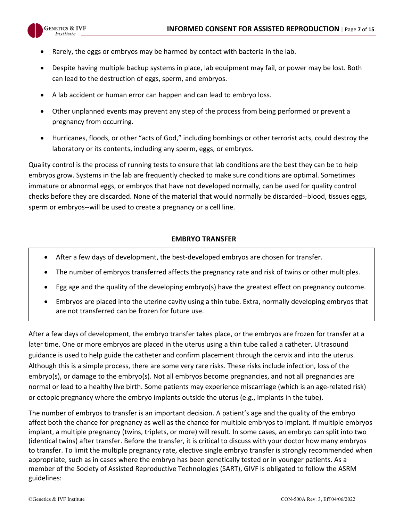

- Rarely, the eggs or embryos may be harmed by contact with bacteria in the lab.
- Despite having multiple backup systems in place, lab equipment may fail, or power may be lost. Both can lead to the destruction of eggs, sperm, and embryos.
- A lab accident or human error can happen and can lead to embryo loss.
- Other unplanned events may prevent any step of the process from being performed or prevent a pregnancy from occurring.
- Hurricanes, floods, or other "acts of God," including bombings or other terrorist acts, could destroy the laboratory or its contents, including any sperm, eggs, or embryos.

Quality control is the process of running tests to ensure that lab conditions are the best they can be to help embryos grow. Systems in the lab are frequently checked to make sure conditions are optimal. Sometimes immature or abnormal eggs, or embryos that have not developed normally, can be used for quality control checks before they are discarded. None of the material that would normally be discarded--blood, tissues eggs, sperm or embryos--will be used to create a pregnancy or a cell line.

# **EMBRYO TRANSFER**

- After a few days of development, the best-developed embryos are chosen for transfer.
- The number of embryos transferred affects the pregnancy rate and risk of twins or other multiples.
- Egg age and the quality of the developing embryo(s) have the greatest effect on pregnancy outcome.
- Embryos are placed into the uterine cavity using a thin tube. Extra, normally developing embryos that are not transferred can be frozen for future use.

After a few days of development, the embryo transfer takes place, or the embryos are frozen for transfer at a later time. One or more embryos are placed in the uterus using a thin tube called a catheter. Ultrasound guidance is used to help guide the catheter and confirm placement through the cervix and into the uterus. Although this is a simple process, there are some very rare risks. These risks include infection, loss of the embryo(s), or damage to the embryo(s). Not all embryos become pregnancies, and not all pregnancies are normal or lead to a healthy live birth. Some patients may experience miscarriage (which is an age-related risk) or ectopic pregnancy where the embryo implants outside the uterus (e.g., implants in the tube).

The number of embryos to transfer is an important decision. A patient's age and the quality of the embryo affect both the chance for pregnancy as well as the chance for multiple embryos to implant. If multiple embryos implant, a multiple pregnancy (twins, triplets, or more) will result. In some cases, an embryo can split into two (identical twins) after transfer. Before the transfer, it is critical to discuss with your doctor how many embryos to transfer. To limit the multiple pregnancy rate, elective single embryo transfer is strongly recommended when appropriate, such as in cases where the embryo has been genetically tested or in younger patients. As a member of the Society of Assisted Reproductive Technologies (SART), GIVF is obligated to follow the ASRM guidelines: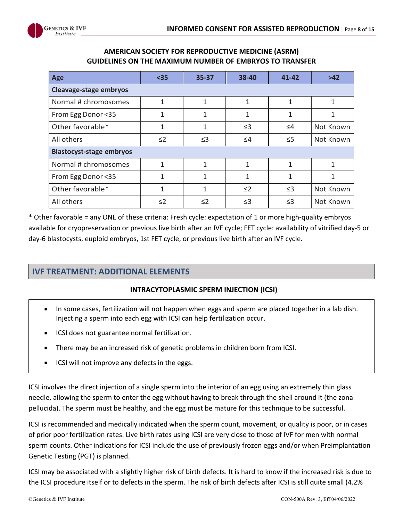

| Age                             | $35$     | 35-37    | 38-40        | $41 - 42$ | $>42$     |
|---------------------------------|----------|----------|--------------|-----------|-----------|
| Cleavage-stage embryos          |          |          |              |           |           |
| Normal # chromosomes            | 1        | 1        | 1            | 1         |           |
| From Egg Donor <35              | 1        | 1        | $\mathbf{1}$ | 1         | 1         |
| Other favorable*                | 1        | 1        | $\leq$ 3     | $\leq 4$  | Not Known |
| All others                      | $\leq$ 2 | $\leq$ 3 | $\leq 4$     | $\leq 5$  | Not Known |
| <b>Blastocyst-stage embryos</b> |          |          |              |           |           |
| Normal # chromosomes            | 1        | 1        | 1            | 1         |           |
| From Egg Donor <35              | 1        | 1        | $\mathbf{1}$ | 1         |           |
| Other favorable*                | 1        | 1        | $\leq$ 2     | $\leq$ 3  | Not Known |
| All others                      | $\leq$ 2 | $\leq$ 2 | $\leq$ 3     | $\leq$ 3  | Not Known |

## **AMERICAN SOCIETY FOR REPRODUCTIVE MEDICINE (ASRM) GUIDELINES ON THE MAXIMUM NUMBER OF EMBRYOS TO TRANSFER**

\* Other favorable = any ONE of these criteria: Fresh cycle: expectation of 1 or more high-quality embryos available for cryopreservation or previous live birth after an IVF cycle; FET cycle: availability of vitrified day-5 or day-6 blastocysts, euploid embryos, 1st FET cycle, or previous live birth after an IVF cycle.

# **IVF TREATMENT: ADDITIONAL ELEMENTS**

#### **INTRACYTOPLASMIC SPERM INJECTION (ICSI)**

- In some cases, fertilization will not happen when eggs and sperm are placed together in a lab dish. Injecting a sperm into each egg with ICSI can help fertilization occur.
- ICSI does not guarantee normal fertilization.
- There may be an increased risk of genetic problems in children born from ICSI.
- ICSI will not improve any defects in the eggs.

ICSI involves the direct injection of a single sperm into the interior of an egg using an extremely thin glass needle, allowing the sperm to enter the egg without having to break through the shell around it (the zona pellucida). The sperm must be healthy, and the egg must be mature for this technique to be successful.

ICSI is recommended and medically indicated when the sperm count, movement, or quality is poor, or in cases of prior poor fertilization rates. Live birth rates using ICSI are very close to those of IVF for men with normal sperm counts. Other indications for ICSI include the use of previously frozen eggs and/or when Preimplantation Genetic Testing (PGT) is planned.

ICSI may be associated with a slightly higher risk of birth defects. It is hard to know if the increased risk is due to the ICSI procedure itself or to defects in the sperm. The risk of birth defects after ICSI is still quite small (4.2%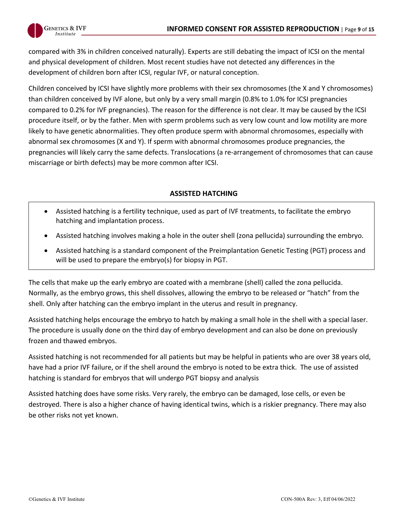

compared with 3% in children conceived naturally). Experts are still debating the impact of ICSI on the mental and physical development of children. Most recent studies have not detected any differences in the development of children born after ICSI, regular IVF, or natural conception.

Children conceived by ICSI have slightly more problems with their sex chromosomes (the X and Y chromosomes) than children conceived by IVF alone, but only by a very small margin (0.8% to 1.0% for ICSI pregnancies compared to 0.2% for IVF pregnancies). The reason for the difference is not clear. It may be caused by the ICSI procedure itself, or by the father. Men with sperm problems such as very low count and low motility are more likely to have genetic abnormalities. They often produce sperm with abnormal chromosomes, especially with abnormal sex chromosomes (X and Y). If sperm with abnormal chromosomes produce pregnancies, the pregnancies will likely carry the same defects. Translocations (a re-arrangement of chromosomes that can cause miscarriage or birth defects) may be more common after ICSI.

## **ASSISTED HATCHING**

- Assisted hatching is a fertility technique, used as part of IVF treatments, to facilitate the embryo hatching and implantation process.
- Assisted hatching involves making a hole in the outer shell (zona pellucida) surrounding the embryo.
- Assisted hatching is a standard component of the Preimplantation Genetic Testing (PGT) process and will be used to prepare the embryo(s) for biopsy in PGT.

The cells that make up the early embryo are coated with a membrane (shell) called the zona pellucida. Normally, as the embryo grows, this shell dissolves, allowing the embryo to be released or "hatch" from the shell. Only after hatching can the embryo implant in the uterus and result in pregnancy.

Assisted hatching helps encourage the embryo to hatch by making a small hole in the shell with a special laser. The procedure is usually done on the third day of embryo development and can also be done on previously frozen and thawed embryos.

Assisted hatching is not recommended for all patients but may be helpful in patients who are over 38 years old, have had a prior IVF failure, or if the shell around the embryo is noted to be extra thick. The use of assisted hatching is standard for embryos that will undergo PGT biopsy and analysis

Assisted hatching does have some risks. Very rarely, the embryo can be damaged, lose cells, or even be destroyed. There is also a higher chance of having identical twins, which is a riskier pregnancy. There may also be other risks not yet known.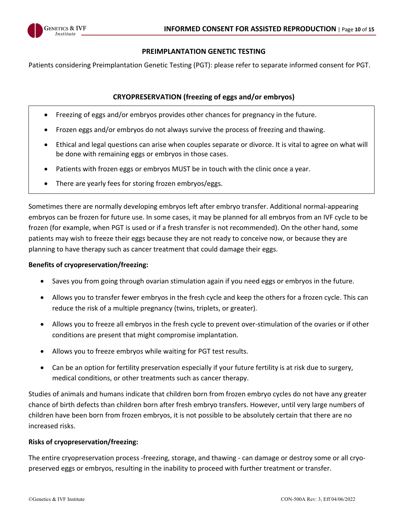

#### **PREIMPLANTATION GENETIC TESTING**

Patients considering Preimplantation Genetic Testing (PGT): please refer to separate informed consent for PGT.

#### **CRYOPRESERVATION (freezing of eggs and/or embryos)**

- Freezing of eggs and/or embryos provides other chances for pregnancy in the future.
- Frozen eggs and/or embryos do not always survive the process of freezing and thawing.
- Ethical and legal questions can arise when couples separate or divorce. It is vital to agree on what will be done with remaining eggs or embryos in those cases.
- Patients with frozen eggs or embryos MUST be in touch with the clinic once a year.
- There are yearly fees for storing frozen embryos/eggs.

Sometimes there are normally developing embryos left after embryo transfer. Additional normal-appearing embryos can be frozen for future use. In some cases, it may be planned for all embryos from an IVF cycle to be frozen (for example, when PGT is used or if a fresh transfer is not recommended). On the other hand, some patients may wish to freeze their eggs because they are not ready to conceive now, or because they are planning to have therapy such as cancer treatment that could damage their eggs.

#### **Benefits of cryopreservation/freezing:**

- Saves you from going through ovarian stimulation again if you need eggs or embryos in the future.
- Allows you to transfer fewer embryos in the fresh cycle and keep the others for a frozen cycle. This can reduce the risk of a multiple pregnancy (twins, triplets, or greater).
- Allows you to freeze all embryos in the fresh cycle to prevent over-stimulation of the ovaries or if other conditions are present that might compromise implantation.
- Allows you to freeze embryos while waiting for PGT test results.
- Can be an option for fertility preservation especially if your future fertility is at risk due to surgery, medical conditions, or other treatments such as cancer therapy.

Studies of animals and humans indicate that children born from frozen embryo cycles do not have any greater chance of birth defects than children born after fresh embryo transfers. However, until very large numbers of children have been born from frozen embryos, it is not possible to be absolutely certain that there are no increased risks.

#### **Risks of cryopreservation/freezing:**

The entire cryopreservation process -freezing, storage, and thawing - can damage or destroy some or all cryopreserved eggs or embryos, resulting in the inability to proceed with further treatment or transfer.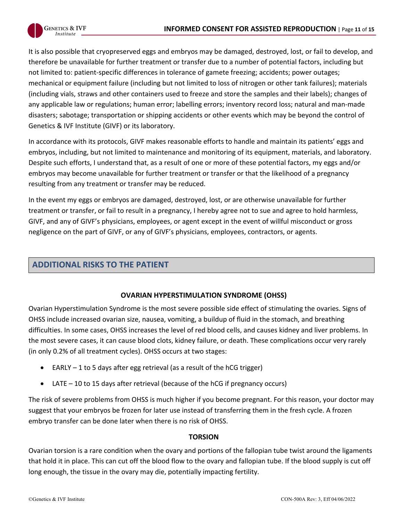It is also possible that cryopreserved eggs and embryos may be damaged, destroyed, lost, or fail to develop, and therefore be unavailable for further treatment or transfer due to a number of potential factors, including but not limited to: patient-specific differences in tolerance of gamete freezing; accidents; power outages; mechanical or equipment failure (including but not limited to loss of nitrogen or other tank failures); materials (including vials, straws and other containers used to freeze and store the samples and their labels); changes of any applicable law or regulations; human error; labelling errors; inventory record loss; natural and man-made disasters; sabotage; transportation or shipping accidents or other events which may be beyond the control of Genetics & IVF Institute (GIVF) or its laboratory.

In accordance with its protocols, GIVF makes reasonable efforts to handle and maintain its patients' eggs and embryos, including, but not limited to maintenance and monitoring of its equipment, materials, and laboratory. Despite such efforts, I understand that, as a result of one or more of these potential factors, my eggs and/or embryos may become unavailable for further treatment or transfer or that the likelihood of a pregnancy resulting from any treatment or transfer may be reduced.

In the event my eggs or embryos are damaged, destroyed, lost, or are otherwise unavailable for further treatment or transfer, or fail to result in a pregnancy, I hereby agree not to sue and agree to hold harmless, GIVF, and any of GIVF's physicians, employees, or agent except in the event of willful misconduct or gross negligence on the part of GIVF, or any of GIVF's physicians, employees, contractors, or agents.

# **ADDITIONAL RISKS TO THE PATIENT**

# **OVARIAN HYPERSTIMULATION SYNDROME (OHSS)**

Ovarian Hyperstimulation Syndrome is the most severe possible side effect of stimulating the ovaries. Signs of OHSS include increased ovarian size, nausea, vomiting, a buildup of fluid in the stomach, and breathing difficulties. In some cases, OHSS increases the level of red blood cells, and causes kidney and liver problems. In the most severe cases, it can cause blood clots, kidney failure, or death. These complications occur very rarely (in only 0.2% of all treatment cycles). OHSS occurs at two stages:

- EARLY 1 to 5 days after egg retrieval (as a result of the hCG trigger)
- LATE 10 to 15 days after retrieval (because of the hCG if pregnancy occurs)

The risk of severe problems from OHSS is much higher if you become pregnant. For this reason, your doctor may suggest that your embryos be frozen for later use instead of transferring them in the fresh cycle. A frozen embryo transfer can be done later when there is no risk of OHSS.

#### **TORSION**

Ovarian torsion is a rare condition when the ovary and portions of the fallopian tube twist around the ligaments that hold it in place. This can cut off the blood flow to the ovary and fallopian tube. If the blood supply is cut off long enough, the tissue in the ovary may die, potentially impacting fertility.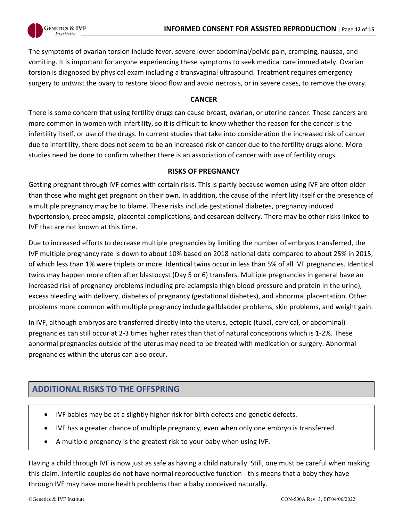

The symptoms of ovarian torsion include fever, severe lower abdominal/pelvic pain, cramping, nausea, and vomiting. It is important for anyone experiencing these symptoms to seek medical care immediately. Ovarian torsion is diagnosed by physical exam including a transvaginal ultrasound. Treatment requires emergency surgery to untwist the ovary to restore blood flow and avoid necrosis, or in severe cases, to remove the ovary.

## **CANCER**

There is some concern that using fertility drugs can cause breast, ovarian, or uterine cancer. These cancers are more common in women with infertility, so it is difficult to know whether the reason for the cancer is the infertility itself, or use of the drugs. In current studies that take into consideration the increased risk of cancer due to infertility, there does not seem to be an increased risk of cancer due to the fertility drugs alone. More studies need be done to confirm whether there is an association of cancer with use of fertility drugs.

## **RISKS OF PREGNANCY**

Getting pregnant through IVF comes with certain risks. This is partly because women using IVF are often older than those who might get pregnant on their own. In addition, the cause of the infertility itself or the presence of a multiple pregnancy may be to blame. These risks include gestational diabetes, pregnancy induced hypertension, preeclampsia, placental complications, and cesarean delivery. There may be other risks linked to IVF that are not known at this time.

Due to increased efforts to decrease multiple pregnancies by limiting the number of embryos transferred, the IVF multiple pregnancy rate is down to about 10% based on 2018 national data compared to about 25% in 2015, of which less than 1% were triplets or more. Identical twins occur in less than 5% of all IVF pregnancies. Identical twins may happen more often after blastocyst (Day 5 or 6) transfers. Multiple pregnancies in general have an increased risk of pregnancy problems including pre-eclampsia (high blood pressure and protein in the urine), excess bleeding with delivery, diabetes of pregnancy (gestational diabetes), and abnormal placentation. Other problems more common with multiple pregnancy include gallbladder problems, skin problems, and weight gain.

In IVF, although embryos are transferred directly into the uterus, ectopic (tubal, cervical, or abdominal) pregnancies can still occur at 2-3 times higher rates than that of natural conceptions which is 1-2%. These abnormal pregnancies outside of the uterus may need to be treated with medication or surgery. Abnormal pregnancies within the uterus can also occur.

# **ADDITIONAL RISKS TO THE OFFSPRING**

- IVF babies may be at a slightly higher risk for birth defects and genetic defects.
- IVF has a greater chance of multiple pregnancy, even when only one embryo is transferred.
- A multiple pregnancy is the greatest risk to your baby when using IVF.

Having a child through IVF is now just as safe as having a child naturally. Still, one must be careful when making this claim. Infertile couples do not have normal reproductive function - this means that a baby they have through IVF may have more health problems than a baby conceived naturally.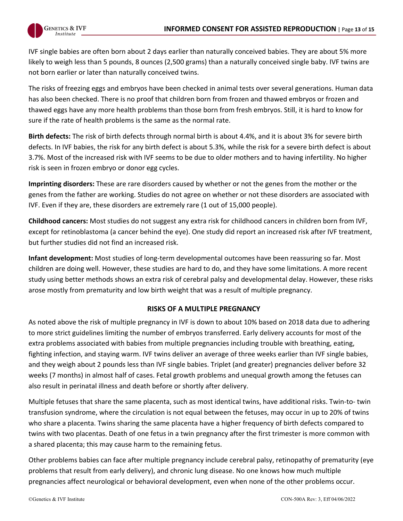

IVF single babies are often born about 2 days earlier than naturally conceived babies. They are about 5% more likely to weigh less than 5 pounds, 8 ounces (2,500 grams) than a naturally conceived single baby. IVF twins are not born earlier or later than naturally conceived twins.

The risks of freezing eggs and embryos have been checked in animal tests over several generations. Human data has also been checked. There is no proof that children born from frozen and thawed embryos or frozen and thawed eggs have any more health problems than those born from fresh embryos. Still, it is hard to know for sure if the rate of health problems is the same as the normal rate.

**Birth defects:** The risk of birth defects through normal birth is about 4.4%, and it is about 3% for severe birth defects. In IVF babies, the risk for any birth defect is about 5.3%, while the risk for a severe birth defect is about 3.7%. Most of the increased risk with IVF seems to be due to older mothers and to having infertility. No higher risk is seen in frozen embryo or donor egg cycles.

**Imprinting disorders:** These are rare disorders caused by whether or not the genes from the mother or the genes from the father are working. Studies do not agree on whether or not these disorders are associated with IVF. Even if they are, these disorders are extremely rare (1 out of 15,000 people).

**Childhood cancers:** Most studies do not suggest any extra risk for childhood cancers in children born from IVF, except for retinoblastoma (a cancer behind the eye). One study did report an increased risk after IVF treatment, but further studies did not find an increased risk.

**Infant development:** Most studies of long-term developmental outcomes have been reassuring so far. Most children are doing well. However, these studies are hard to do, and they have some limitations. A more recent study using better methods shows an extra risk of cerebral palsy and developmental delay. However, these risks arose mostly from prematurity and low birth weight that was a result of multiple pregnancy.

#### **RISKS OF A MULTIPLE PREGNANCY**

As noted above the risk of multiple pregnancy in IVF is down to about 10% based on 2018 data due to adhering to more strict guidelines limiting the number of embryos transferred. Early delivery accounts for most of the extra problems associated with babies from multiple pregnancies including trouble with breathing, eating, fighting infection, and staying warm. IVF twins deliver an average of three weeks earlier than IVF single babies, and they weigh about 2 pounds less than IVF single babies. Triplet (and greater) pregnancies deliver before 32 weeks (7 months) in almost half of cases. Fetal growth problems and unequal growth among the fetuses can also result in perinatal illness and death before or shortly after delivery.

Multiple fetuses that share the same placenta, such as most identical twins, have additional risks. Twin-to- twin transfusion syndrome, where the circulation is not equal between the fetuses, may occur in up to 20% of twins who share a placenta. Twins sharing the same placenta have a higher frequency of birth defects compared to twins with two placentas. Death of one fetus in a twin pregnancy after the first trimester is more common with a shared placenta; this may cause harm to the remaining fetus.

Other problems babies can face after multiple pregnancy include cerebral palsy, retinopathy of prematurity (eye problems that result from early delivery), and chronic lung disease. No one knows how much multiple pregnancies affect neurological or behavioral development, even when none of the other problems occur.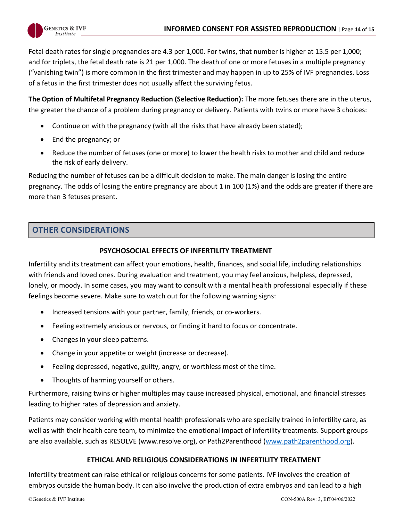Fetal death rates for single pregnancies are 4.3 per 1,000. For twins, that number is higher at 15.5 per 1,000; and for triplets, the fetal death rate is 21 per 1,000. The death of one or more fetuses in a multiple pregnancy ("vanishing twin") is more common in the first trimester and may happen in up to 25% of IVF pregnancies. Loss of a fetus in the first trimester does not usually affect the surviving fetus.

**The Option of Multifetal Pregnancy Reduction (Selective Reduction):** The more fetuses there are in the uterus, the greater the chance of a problem during pregnancy or delivery. Patients with twins or more have 3 choices:

- Continue on with the pregnancy (with all the risks that have already been stated);
- End the pregnancy; or
- Reduce the number of fetuses (one or more) to lower the health risks to mother and child and reduce the risk of early delivery.

Reducing the number of fetuses can be a difficult decision to make. The main danger is losing the entire pregnancy. The odds of losing the entire pregnancy are about 1 in 100 (1%) and the odds are greater if there are more than 3 fetuses present.

# **OTHER CONSIDERATIONS**

#### **PSYCHOSOCIAL EFFECTS OF INFERTILITY TREATMENT**

Infertility and its treatment can affect your emotions, health, finances, and social life, including relationships with friends and loved ones. During evaluation and treatment, you may feel anxious, helpless, depressed, lonely, or moody. In some cases, you may want to consult with a mental health professional especially if these feelings become severe. Make sure to watch out for the following warning signs:

- Increased tensions with your partner, family, friends, or co-workers.
- Feeling extremely anxious or nervous, or finding it hard to focus or concentrate.
- Changes in your sleep patterns.
- Change in your appetite or weight (increase or decrease).
- Feeling depressed, negative, guilty, angry, or worthless most of the time.
- Thoughts of harming yourself or others.

Furthermore, raising twins or higher multiples may cause increased physical, emotional, and financial stresses leading to higher rates of depression and anxiety.

Patients may consider working with mental health professionals who are specially trained in infertility care, as well as with their health care team, to minimize the emotional impact of infertility treatments. Support groups are also available, such as RESOLVE (www.resolve.org), or Path2Parenthood (www.path2parenthood.org).

#### **ETHICAL AND RELIGIOUS CONSIDERATIONS IN INFERTILITY TREATMENT**

Infertility treatment can raise ethical or religious concerns for some patients. IVF involves the creation of embryos outside the human body. It can also involve the production of extra embryos and can lead to a high